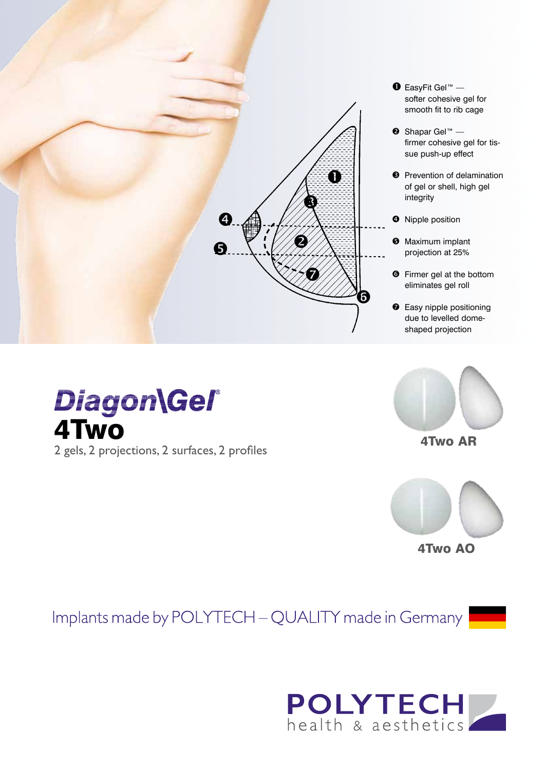

4Two

2 gels, 2 projections, 2 surfaces, 2 profiles

**Diagon\Gel®** 



4Two AR



Implants made by POLYTECH - QUALITY made in Germany

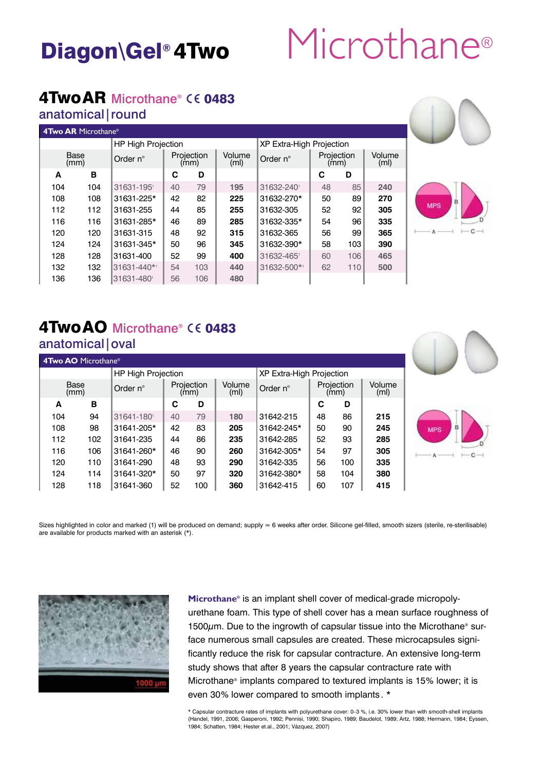# Diagon\Gel®4Two Microthane®

## $4$ Two AR Microthane®  $\epsilon \epsilon$  0483

### anatomical|round

| <b>4Two AR Microthane<sup>®</sup></b> |     |                           |                    |     |                             |                                 |                    |     |                             |  |
|---------------------------------------|-----|---------------------------|--------------------|-----|-----------------------------|---------------------------------|--------------------|-----|-----------------------------|--|
|                                       |     | <b>HP High Projection</b> |                    |     |                             | <b>XP Extra-High Projection</b> |                    |     |                             |  |
| Base<br>(mm)                          |     | Order $n^{\circ}$         | Projection<br>(mm) |     | Volume<br>(m <sub>l</sub> ) | Order $n^{\circ}$               | Projection<br>(mm) |     | Volume<br>(m <sub>l</sub> ) |  |
| A                                     | в   |                           | С                  | D   |                             |                                 | С                  | D   |                             |  |
| 104                                   | 104 | 31631-1951                | 40                 | 79  | 195                         | 31632-240                       | 48                 | 85  | 240                         |  |
| 108                                   | 108 | 31631-225*                | 42                 | 82  | 225                         | 31632-270*                      | 50                 | 89  | 270                         |  |
| 112                                   | 112 | 31631-255                 | 44                 | 85  | 255                         | 31632-305                       | 52                 | 92  | 305                         |  |
| 116                                   | 116 | 31631-285*                | 46                 | 89  | 285                         | 31632-335*                      | 54                 | 96  | 335                         |  |
| 120                                   | 120 | 31631-315                 | 48                 | 92  | 315                         | 31632-365                       | 56                 | 99  | 365                         |  |
| 124                                   | 124 | 31631-345*                | 50                 | 96  | 345                         | 31632-390*                      | 58                 | 103 | 390                         |  |
| 128                                   | 128 | 31631-400                 | 52                 | 99  | 400                         | 31632-4651                      | 60                 | 106 | 465                         |  |
| 132                                   | 132 | 31631-440*1               | 54                 | 103 | 440                         | 31632-500*1                     | 62                 | 110 | 500                         |  |
| 136                                   | 136 | 31631-480                 | 56                 | 106 | 480                         |                                 |                    |     |                             |  |



#### **4Two AO** Microthane® HP High Projection XP Extra-High Projection Base<br>(mm) Order n° Projection Volume<br>(ml) Order n° Projection Volume (ml) **A B C D C D** 104 94 31641-1801 40 79 **180** 31642-215 48 86 **215** 108 98 31641-205\* 42 83 **205** 31642-245\* 50 90 **245** 112 102 31641-235 44 86 **235** 31642-285 52 93 **285** 116 106 31641-260\* 46 90 **260** 31642-305\* 54 97 **305** 120 110 31641-290 48 93 **290** 31642-335 56 100 **335** 124 114 31641-320\* 50 97 **320** 31642-380\* 58 104 **380** 128 118 31641-360 52 100 **360** 31642-415 60 107 **415**

Sizes highlighted in color and marked (1) will be produced on demand; supply ≈ 6 weeks after order. Silicone gel-filled, smooth sizers (sterile, re-sterilisable) are available for products marked with an asterisk (\*).



**Microthane®** is an implant shell cover of medical-grade micropolyurethane foam. This type of shell cover has a mean surface roughness of  $1500\mu$ m. Due to the ingrowth of capsular tissue into the Microthane<sup>®</sup> surface numerous small capsules are created. These microcapsules significantly reduce the risk for capsular contracture. An extensive long-term study shows that after 8 years the capsular contracture rate with Microthane® implants compared to textured implants is 15% lower; it is even 30% lower compared to smooth implants . \*

\* Capsular contracture rates of implants with polyurethane cover: 0–3 %, i.e. 30% lower than with smooth-shell implants (Handel, 1991, 2006; Gasperoni, 1992; Pennisi, 1990; Shapiro, 1989; Baudelot, 1989; Artz, 1988; Hermann, 1984; Eyssen, 1984; Schatten, 1984; Hester et.al., 2001; Vázquez, 2007)



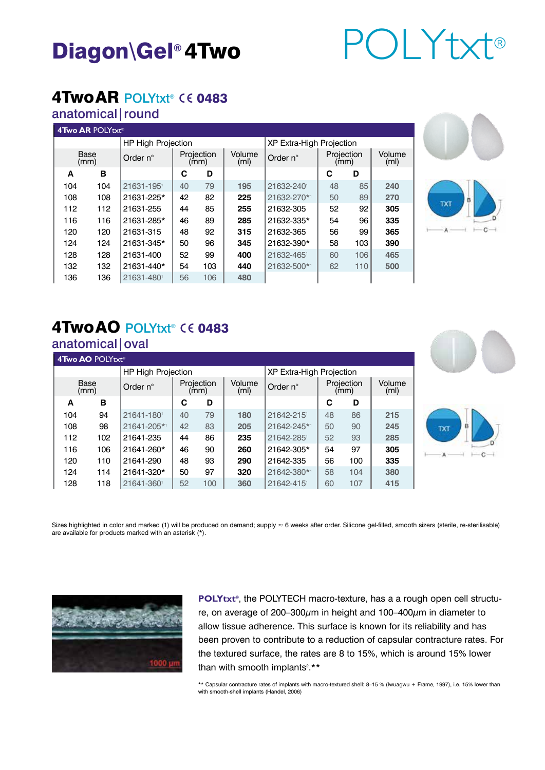# Diagon\Gel® 4Two POLYtxt®

### 4Two AR POLYtxt® CE 0483

#### anatomical|round

| 4Two AR POLYtxt® |     |                    |                                 |     |                             |             |                    |     |                             |
|------------------|-----|--------------------|---------------------------------|-----|-----------------------------|-------------|--------------------|-----|-----------------------------|
|                  |     | HP High Projection | <b>XP Extra-High Projection</b> |     |                             |             |                    |     |                             |
| Base<br>(mm)     |     | Order n°           | Projection<br>(mm)              |     | Volume<br>(m <sub>l</sub> ) | Order n°    | Projection<br>(mm) |     | Volume<br>(m <sub>l</sub> ) |
| A                | в   |                    | С                               | D   |                             |             | C                  | D   |                             |
| 104              | 104 | 21631-1951         | 40                              | 79  | 195                         | 21632-240   | 48                 | 85  | 240                         |
| 108              | 108 | 21631-225*         | 42                              | 82  | 225                         | 21632-270*1 | 50                 | 89  | 270                         |
| 112              | 112 | 21631-255          | 44                              | 85  | 255                         | 21632-305   | 52                 | 92  | 305                         |
| 116              | 116 | 21631-285*         | 46                              | 89  | 285                         | 21632-335*  | 54                 | 96  | 335                         |
| 120              | 120 | 21631-315          | 48                              | 92  | 315                         | 21632-365   | 56                 | 99  | 365                         |
| 124              | 124 | 21631-345*         | 50                              | 96  | 345                         | 21632-390*  | 58                 | 103 | 390                         |
| 128              | 128 | 21631-400          | 52                              | 99  | 400                         | 21632-4651  | 60                 | 106 | 465                         |
| 132              | 132 | 21631-440*         | 54                              | 103 | 440                         | 21632-500*1 | 62                 | 110 | 500                         |
| 136              | 136 | 21631-480          | 56                              | 106 | 480                         |             |                    |     |                             |



#### anatomical|oval

| 4Two AO POLYtxt® |     |                    |                    |     |                                 |             |                    |     |                             |  |
|------------------|-----|--------------------|--------------------|-----|---------------------------------|-------------|--------------------|-----|-----------------------------|--|
|                  |     | HP High Projection |                    |     | <b>XP Extra-High Projection</b> |             |                    |     |                             |  |
| Base<br>(mm)     |     | Order $n^{\circ}$  | Projection<br>(mm) |     | Volume<br>(m <sub>l</sub> )     | Order n°    | Projection<br>(mm) |     | Volume<br>(m <sub>l</sub> ) |  |
| A                | в   |                    | С                  | D   |                                 |             | С                  | D   |                             |  |
| 104              | 94  | 21641-180          | 40                 | 79  | 180                             | 21642-215   | 48                 | 86  | 215                         |  |
| 108              | 98  | 21641-205*1        | 42                 | 83  | 205                             | 21642-245*1 | 50                 | 90  | 245                         |  |
| 112              | 102 | 21641-235          | 44                 | 86  | 235                             | 21642-285   | 52                 | 93  | 285                         |  |
| 116              | 106 | 21641-260*         | 46                 | 90  | 260                             | 21642-305*  | 54                 | 97  | 305                         |  |
| 120              | 110 | 21641-290          | 48                 | 93  | 290                             | 21642-335   | 56                 | 100 | 335                         |  |
| 124              | 114 | 21641-320*         | 50                 | 97  | 320                             | 21642-380*1 | 58                 | 104 | 380                         |  |
| 128              | 118 | 21641-3601         | 52                 | 100 | 360                             | 21642-415   | 60                 | 107 | 415                         |  |



Sizes highlighted in color and marked (1) will be produced on demand; supply ≈ 6 weeks after order. Silicone gel-filled, smooth sizers (sterile, re-sterilisable) are available for products marked with an asterisk (\*).



**POLYtxt®**, the POLYTECH macro-texture, has a a rough open cell structure, on average of 200-300 $\mu$ m in height and 100-400 $\mu$ m in diameter to allow tissue adherence. This surface is known for its reliability and has been proven to contribute to a reduction of capsular contracture rates. For the textured surface, the rates are 8 to 15%, which is around 15% lower than with smooth implants<sup>2</sup>.\*\*

\*\* Capsular contracture rates of implants with macro-textured shell: 8-15 % (Iwuagwu + Frame, 1997), i.e. 15% lower than with smooth-shell implants (Handel, 2006)